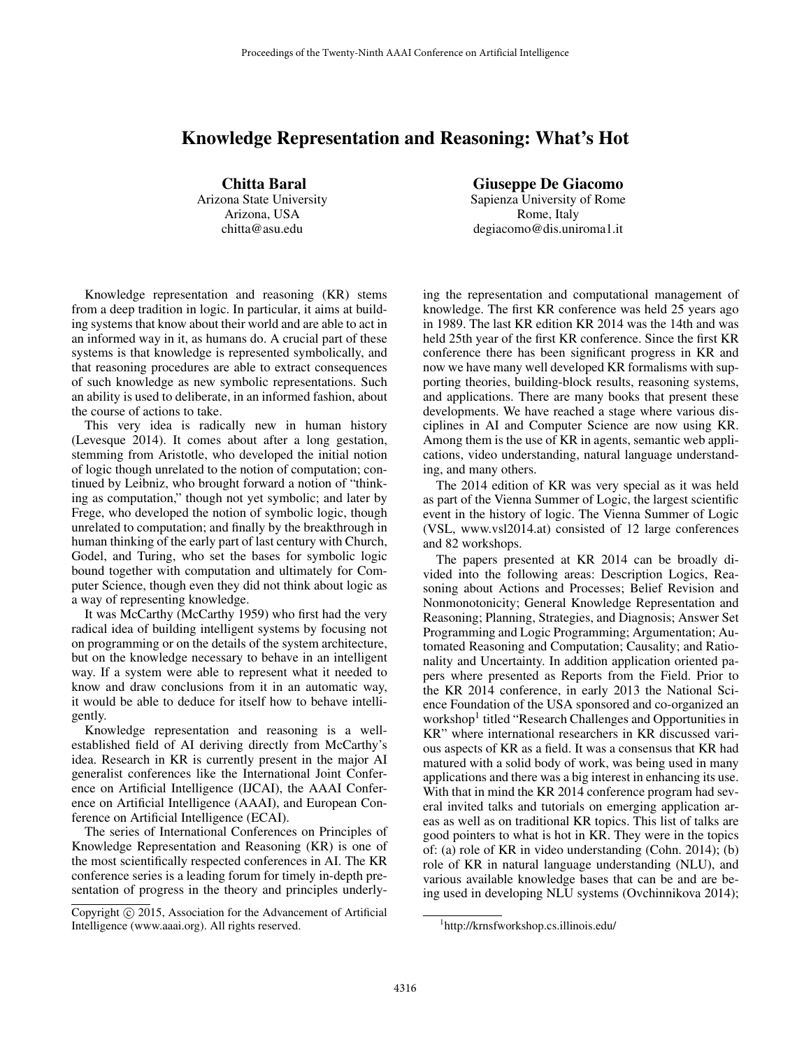## Knowledge Representation and Reasoning: What's Hot

Chitta Baral Arizona State University Arizona, USA chitta@asu.edu

Giuseppe De Giacomo

Sapienza University of Rome Rome, Italy degiacomo@dis.uniroma1.it

Knowledge representation and reasoning (KR) stems from a deep tradition in logic. In particular, it aims at building systems that know about their world and are able to act in an informed way in it, as humans do. A crucial part of these systems is that knowledge is represented symbolically, and that reasoning procedures are able to extract consequences of such knowledge as new symbolic representations. Such an ability is used to deliberate, in an informed fashion, about the course of actions to take.

This very idea is radically new in human history (Levesque 2014). It comes about after a long gestation, stemming from Aristotle, who developed the initial notion of logic though unrelated to the notion of computation; continued by Leibniz, who brought forward a notion of "thinking as computation," though not yet symbolic; and later by Frege, who developed the notion of symbolic logic, though unrelated to computation; and finally by the breakthrough in human thinking of the early part of last century with Church, Godel, and Turing, who set the bases for symbolic logic bound together with computation and ultimately for Computer Science, though even they did not think about logic as a way of representing knowledge.

It was McCarthy (McCarthy 1959) who first had the very radical idea of building intelligent systems by focusing not on programming or on the details of the system architecture, but on the knowledge necessary to behave in an intelligent way. If a system were able to represent what it needed to know and draw conclusions from it in an automatic way, it would be able to deduce for itself how to behave intelligently.

Knowledge representation and reasoning is a wellestablished field of AI deriving directly from McCarthy's idea. Research in KR is currently present in the major AI generalist conferences like the International Joint Conference on Artificial Intelligence (IJCAI), the AAAI Conference on Artificial Intelligence (AAAI), and European Conference on Artificial Intelligence (ECAI).

The series of International Conferences on Principles of Knowledge Representation and Reasoning (KR) is one of the most scientifically respected conferences in AI. The KR conference series is a leading forum for timely in-depth presentation of progress in the theory and principles underlying the representation and computational management of knowledge. The first KR conference was held 25 years ago in 1989. The last KR edition KR 2014 was the 14th and was held 25th year of the first KR conference. Since the first KR conference there has been significant progress in KR and now we have many well developed KR formalisms with supporting theories, building-block results, reasoning systems, and applications. There are many books that present these developments. We have reached a stage where various disciplines in AI and Computer Science are now using KR. Among them is the use of KR in agents, semantic web applications, video understanding, natural language understanding, and many others.

The 2014 edition of KR was very special as it was held as part of the Vienna Summer of Logic, the largest scientific event in the history of logic. The Vienna Summer of Logic (VSL, www.vsl2014.at) consisted of 12 large conferences and 82 workshops.

The papers presented at KR 2014 can be broadly divided into the following areas: Description Logics, Reasoning about Actions and Processes; Belief Revision and Nonmonotonicity; General Knowledge Representation and Reasoning; Planning, Strategies, and Diagnosis; Answer Set Programming and Logic Programming; Argumentation; Automated Reasoning and Computation; Causality; and Rationality and Uncertainty. In addition application oriented papers where presented as Reports from the Field. Prior to the KR 2014 conference, in early 2013 the National Science Foundation of the USA sponsored and co-organized an workshop<sup>1</sup> titled "Research Challenges and Opportunities in KR" where international researchers in KR discussed various aspects of KR as a field. It was a consensus that KR had matured with a solid body of work, was being used in many applications and there was a big interest in enhancing its use. With that in mind the KR 2014 conference program had several invited talks and tutorials on emerging application areas as well as on traditional KR topics. This list of talks are good pointers to what is hot in KR. They were in the topics of: (a) role of KR in video understanding (Cohn. 2014); (b) role of KR in natural language understanding (NLU), and various available knowledge bases that can be and are being used in developing NLU systems (Ovchinnikova 2014);

Copyright (c) 2015, Association for the Advancement of Artificial Intelligence (www.aaai.org). All rights reserved.

<sup>1</sup> http://krnsfworkshop.cs.illinois.edu/